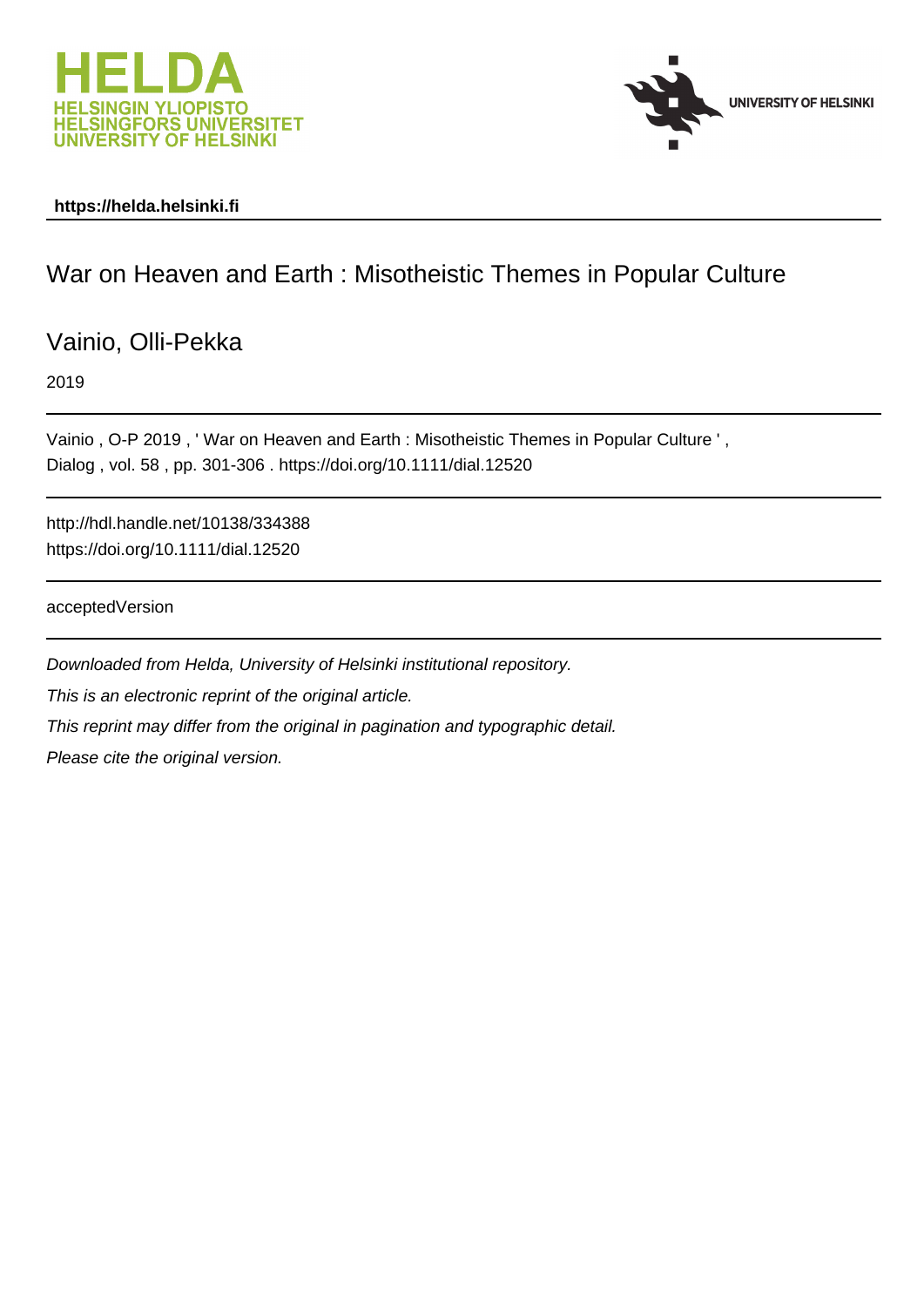



# **https://helda.helsinki.fi**

# War on Heaven and Earth : Misotheistic Themes in Popular Culture

Vainio, Olli-Pekka

2019

Vainio , O-P 2019 , ' War on Heaven and Earth : Misotheistic Themes in Popular Culture ' , Dialog , vol. 58 , pp. 301-306 . https://doi.org/10.1111/dial.12520

http://hdl.handle.net/10138/334388 https://doi.org/10.1111/dial.12520

acceptedVersion

Downloaded from Helda, University of Helsinki institutional repository. This is an electronic reprint of the original article. This reprint may differ from the original in pagination and typographic detail. Please cite the original version.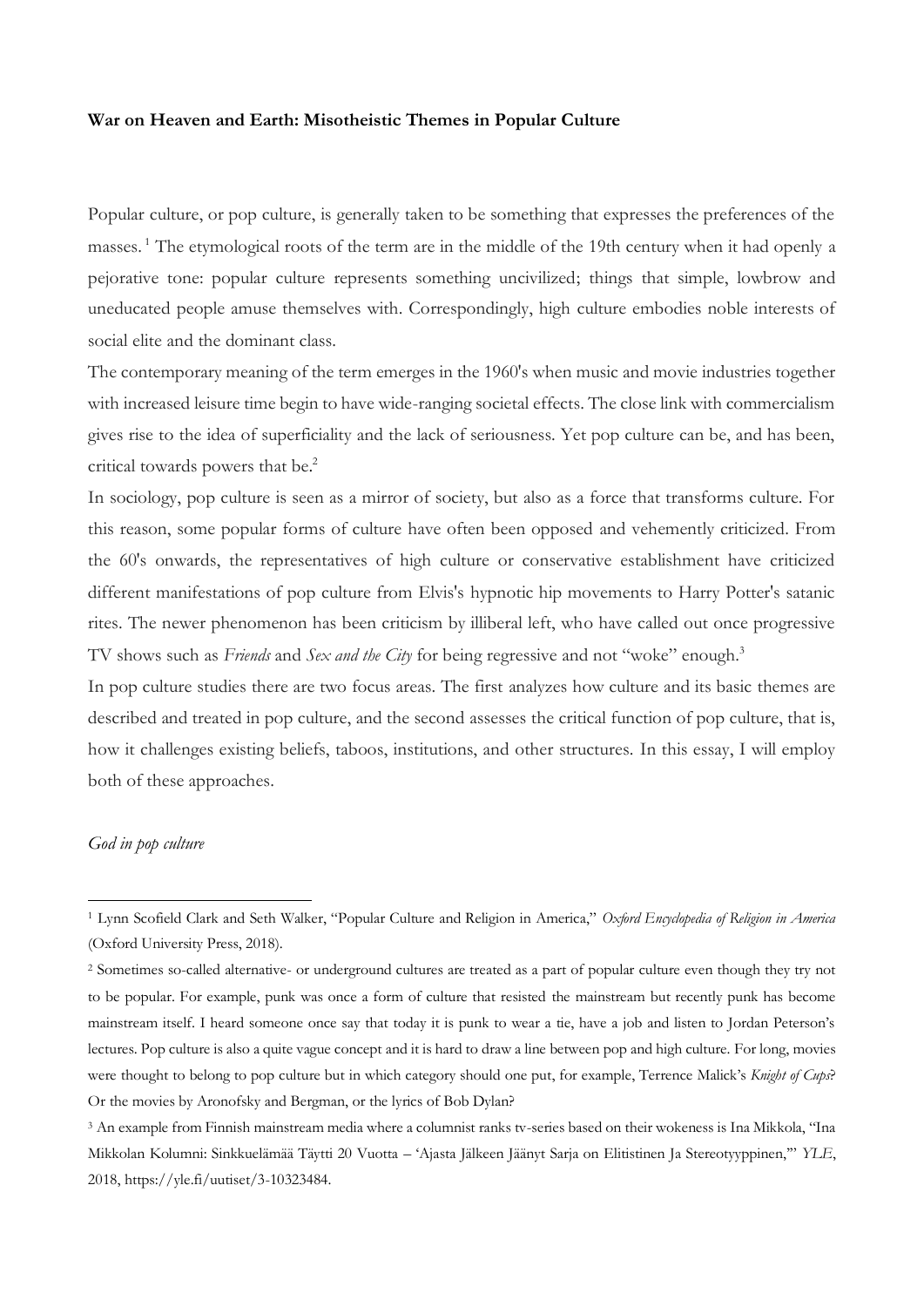#### **War on Heaven and Earth: Misotheistic Themes in Popular Culture**

Popular culture, or pop culture, is generally taken to be something that expresses the preferences of the masses. <sup>1</sup> The etymological roots of the term are in the middle of the 19th century when it had openly a pejorative tone: popular culture represents something uncivilized; things that simple, lowbrow and uneducated people amuse themselves with. Correspondingly, high culture embodies noble interests of social elite and the dominant class.

The contemporary meaning of the term emerges in the 1960's when music and movie industries together with increased leisure time begin to have wide-ranging societal effects. The close link with commercialism gives rise to the idea of superficiality and the lack of seriousness. Yet pop culture can be, and has been, critical towards powers that be. 2

In sociology, pop culture is seen as a mirror of society, but also as a force that transforms culture. For this reason, some popular forms of culture have often been opposed and vehemently criticized. From the 60's onwards, the representatives of high culture or conservative establishment have criticized different manifestations of pop culture from Elvis's hypnotic hip movements to Harry Potter's satanic rites. The newer phenomenon has been criticism by illiberal left, who have called out once progressive TV shows such as *Friends* and *Sex and the City* for being regressive and not "woke" enough.<sup>3</sup>

In pop culture studies there are two focus areas. The first analyzes how culture and its basic themes are described and treated in pop culture, and the second assesses the critical function of pop culture, that is, how it challenges existing beliefs, taboos, institutions, and other structures. In this essay, I will employ both of these approaches.

# *God in pop culture*

<sup>1</sup> Lynn Scofield Clark and Seth Walker, "Popular Culture and Religion in America," *Oxford Encyclopedia of Religion in America* (Oxford University Press, 2018).

<sup>2</sup> Sometimes so-called alternative- or underground cultures are treated as a part of popular culture even though they try not to be popular. For example, punk was once a form of culture that resisted the mainstream but recently punk has become mainstream itself. I heard someone once say that today it is punk to wear a tie, have a job and listen to Jordan Peterson's lectures. Pop culture is also a quite vague concept and it is hard to draw a line between pop and high culture. For long, movies were thought to belong to pop culture but in which category should one put, for example, Terrence Malick's *Knight of Cups*? Or the movies by Aronofsky and Bergman, or the lyrics of Bob Dylan?

<sup>3</sup> An example from Finnish mainstream media where a columnist ranks tv-series based on their wokeness is Ina Mikkola, "Ina Mikkolan Kolumni: Sinkkuelämää Täytti 20 Vuotta – 'Ajasta Jälkeen Jäänyt Sarja on Elitistinen Ja Stereotyyppinen,'" *YLE*, 2018, https://yle.fi/uutiset/3-10323484.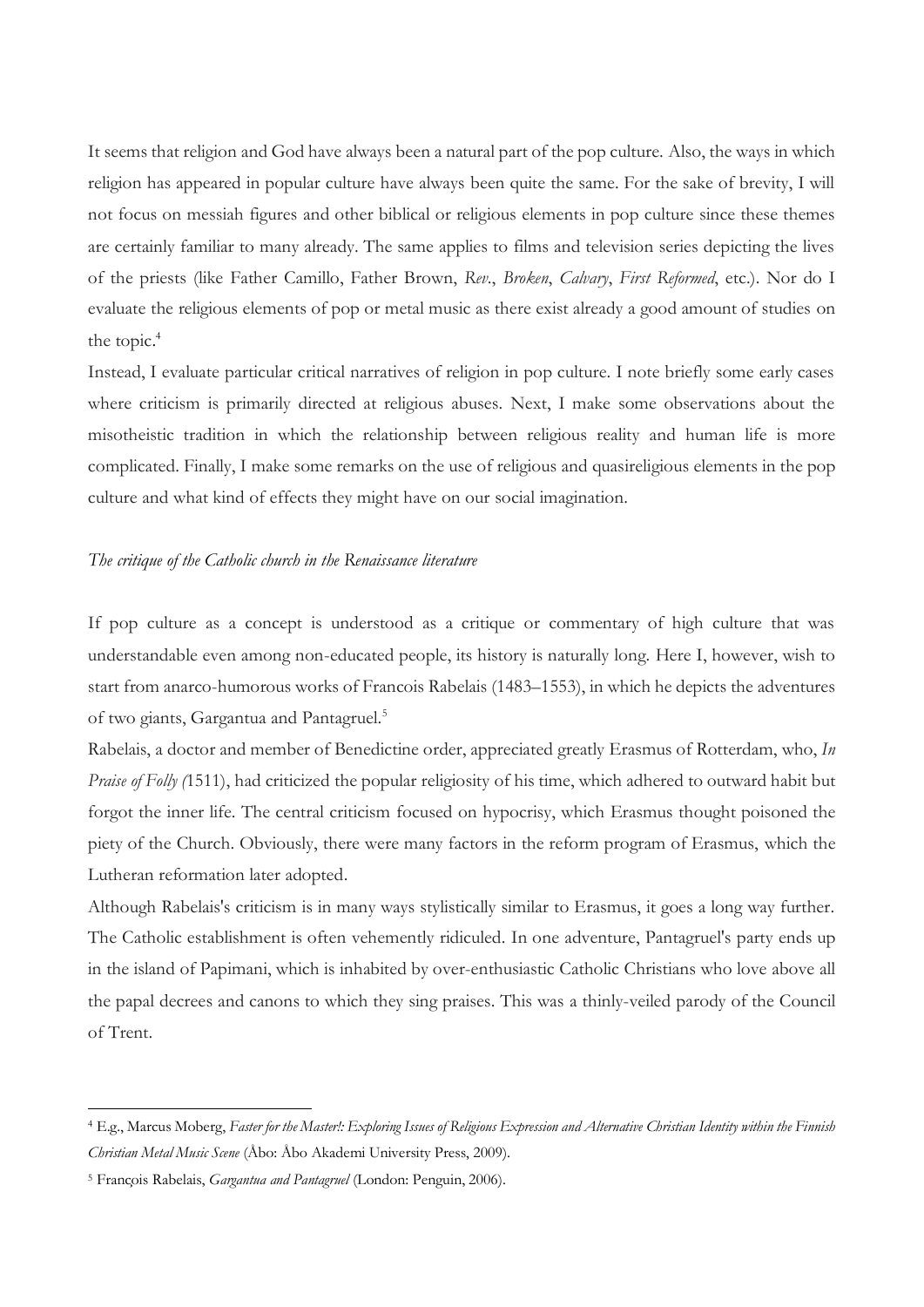It seems that religion and God have always been a natural part of the pop culture. Also, the ways in which religion has appeared in popular culture have always been quite the same. For the sake of brevity, I will not focus on messiah figures and other biblical or religious elements in pop culture since these themes are certainly familiar to many already. The same applies to films and television series depicting the lives of the priests (like Father Camillo, Father Brown, *Rev*., *Broken*, *Calvary*, *First Reformed*, etc.). Nor do I evaluate the religious elements of pop or metal music as there exist already a good amount of studies on the topic. 4

Instead, I evaluate particular critical narratives of religion in pop culture. I note briefly some early cases where criticism is primarily directed at religious abuses. Next, I make some observations about the misotheistic tradition in which the relationship between religious reality and human life is more complicated. Finally, I make some remarks on the use of religious and quasireligious elements in the pop culture and what kind of effects they might have on our social imagination.

## *The critique of the Catholic church in the Renaissance literature*

If pop culture as a concept is understood as a critique or commentary of high culture that was understandable even among non-educated people, its history is naturally long. Here I, however, wish to start from anarco-humorous works of Francois Rabelais (1483–1553), in which he depicts the adventures of two giants, Gargantua and Pantagruel.<sup>5</sup>

Rabelais, a doctor and member of Benedictine order, appreciated greatly Erasmus of Rotterdam, who, *In Praise of Folly (*1511), had criticized the popular religiosity of his time, which adhered to outward habit but forgot the inner life. The central criticism focused on hypocrisy, which Erasmus thought poisoned the piety of the Church. Obviously, there were many factors in the reform program of Erasmus, which the Lutheran reformation later adopted.

Although Rabelais's criticism is in many ways stylistically similar to Erasmus, it goes a long way further. The Catholic establishment is often vehemently ridiculed. In one adventure, Pantagruel's party ends up in the island of Papimani, which is inhabited by over-enthusiastic Catholic Christians who love above all the papal decrees and canons to which they sing praises. This was a thinly-veiled parody of the Council of Trent.

<sup>4</sup> E.g., Marcus Moberg, *Faster for the Master!: Exploring Issues of Religious Expression and Alternative Christian Identity within the Finnish Christian Metal Music Scene* (Åbo: Åbo Akademi University Press, 2009).

<sup>&</sup>lt;sup>5</sup> François Rabelais, *Gargantua and Pantagruel* (London: Penguin, 2006).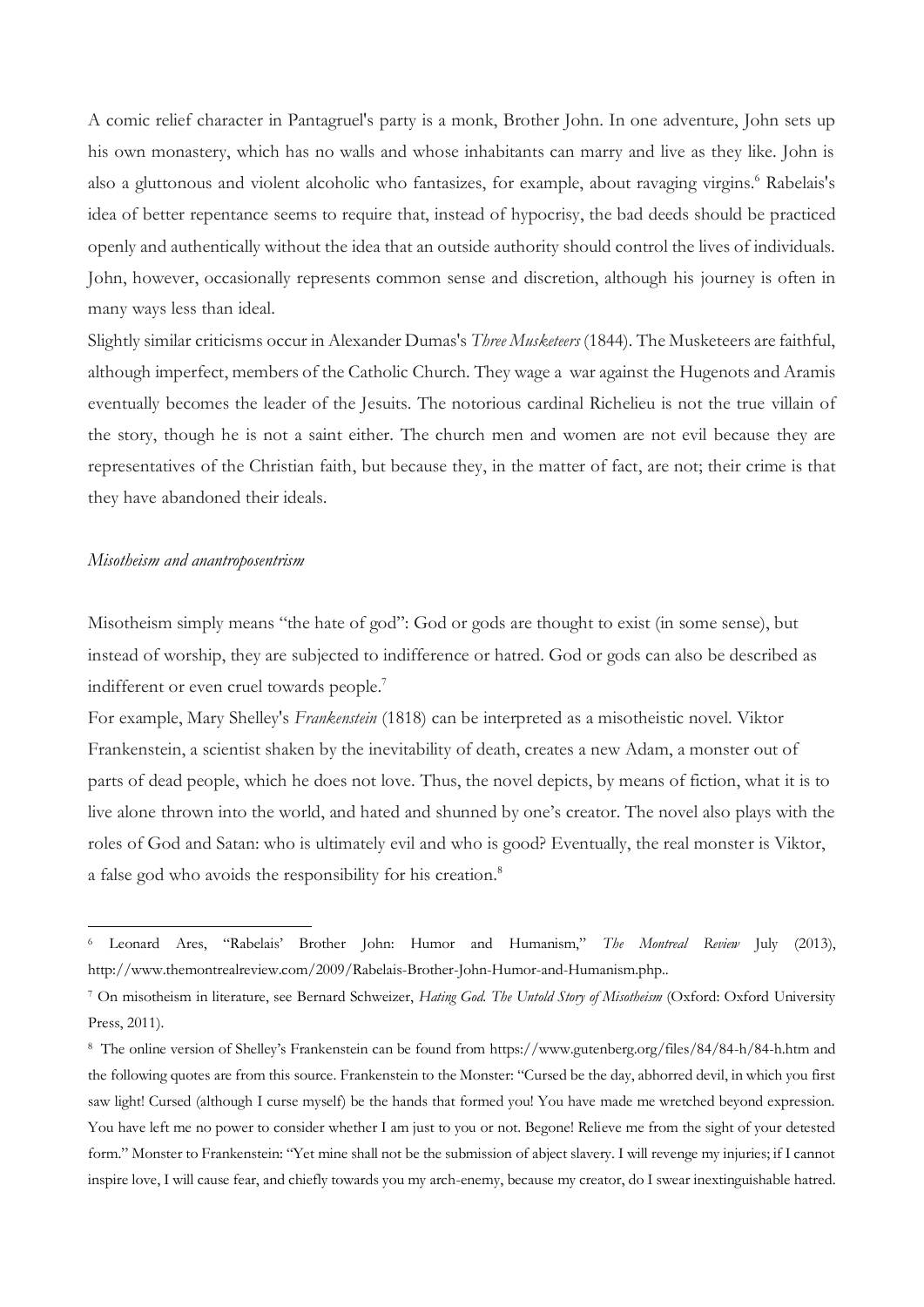A comic relief character in Pantagruel's party is a monk, Brother John. In one adventure, John sets up his own monastery, which has no walls and whose inhabitants can marry and live as they like. John is also a gluttonous and violent alcoholic who fantasizes, for example, about ravaging virgins.<sup>6</sup> Rabelais's idea of better repentance seems to require that, instead of hypocrisy, the bad deeds should be practiced openly and authentically without the idea that an outside authority should control the lives of individuals. John, however, occasionally represents common sense and discretion, although his journey is often in many ways less than ideal.

Slightly similar criticisms occur in Alexander Dumas's *Three Musketeers* (1844). The Musketeers are faithful, although imperfect, members of the Catholic Church. They wage a war against the Hugenots and Aramis eventually becomes the leader of the Jesuits. The notorious cardinal Richelieu is not the true villain of the story, though he is not a saint either. The church men and women are not evil because they are representatives of the Christian faith, but because they, in the matter of fact, are not; their crime is that they have abandoned their ideals.

#### *Misotheism and anantroposentrism*

 $\overline{a}$ 

Misotheism simply means "the hate of god": God or gods are thought to exist (in some sense), but instead of worship, they are subjected to indifference or hatred. God or gods can also be described as indifferent or even cruel towards people.<sup>7</sup>

For example, Mary Shelley's *Frankenstein* (1818) can be interpreted as a misotheistic novel. Viktor Frankenstein, a scientist shaken by the inevitability of death, creates a new Adam, a monster out of parts of dead people, which he does not love. Thus, the novel depicts, by means of fiction, what it is to live alone thrown into the world, and hated and shunned by one's creator. The novel also plays with the roles of God and Satan: who is ultimately evil and who is good? Eventually, the real monster is Viktor, a false god who avoids the responsibility for his creation.<sup>8</sup>

<sup>6</sup> Leonard Ares, "Rabelais' Brother John: Humor and Humanism," *The Montreal Review* July (2013), http://www.themontrealreview.com/2009/Rabelais-Brother-John-Humor-and-Humanism.php..

<sup>7</sup> On misotheism in literature, see Bernard Schweizer, *Hating God. The Untold Story of Misotheism* (Oxford: Oxford University Press, 2011).

<sup>8</sup> The online version of Shelley's Frankenstein can be found from https://www.gutenberg.org/files/84/84-h/84-h.htm and the following quotes are from this source. Frankenstein to the Monster: "Cursed be the day, abhorred devil, in which you first saw light! Cursed (although I curse myself) be the hands that formed you! You have made me wretched beyond expression. You have left me no power to consider whether I am just to you or not. Begone! Relieve me from the sight of your detested form." Monster to Frankenstein: "Yet mine shall not be the submission of abject slavery. I will revenge my injuries; if I cannot inspire love, I will cause fear, and chiefly towards you my arch-enemy, because my creator, do I swear inextinguishable hatred.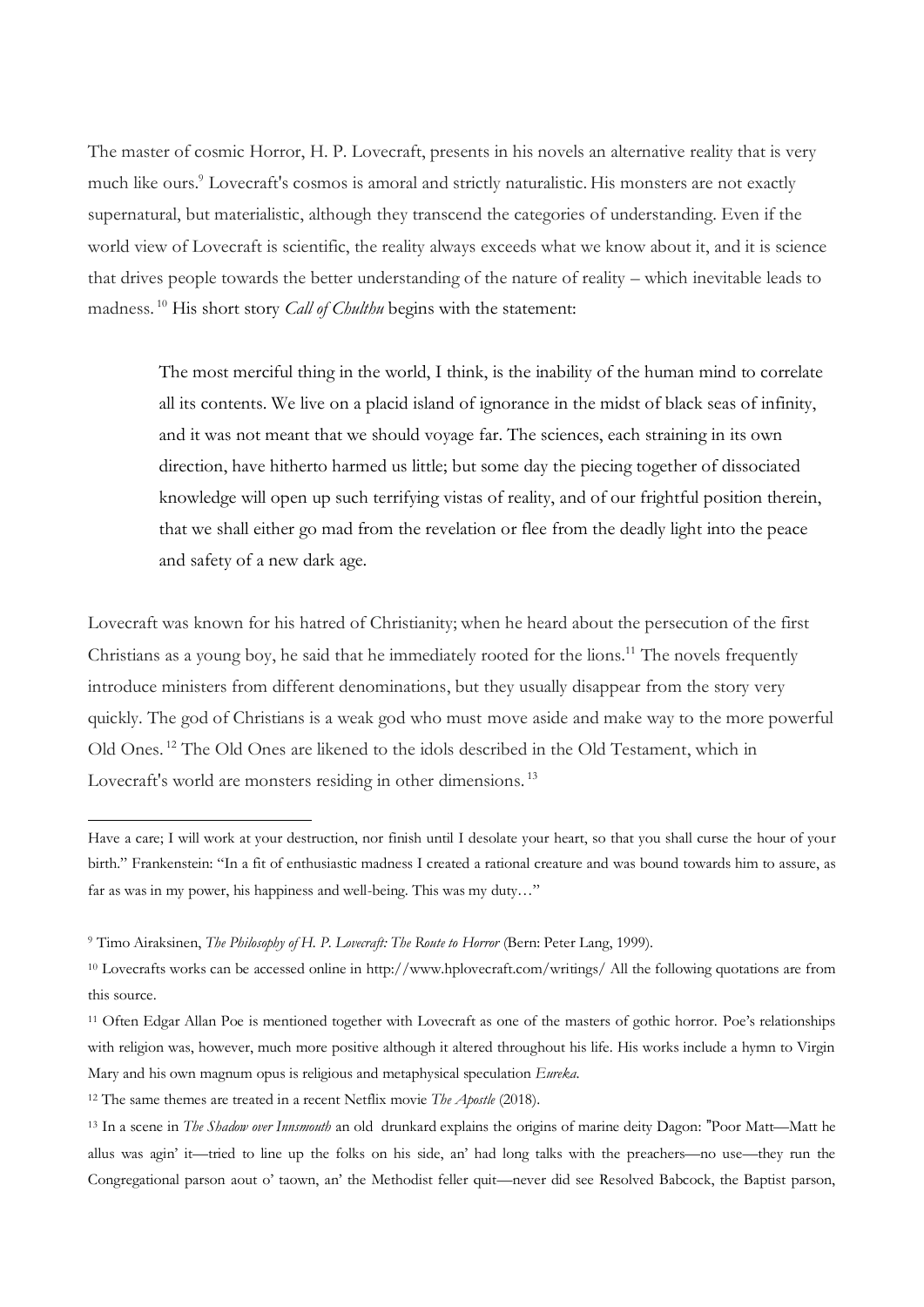The master of cosmic Horror, H. P. Lovecraft, presents in his novels an alternative reality that is very much like ours.<sup>9</sup> Lovecraft's cosmos is amoral and strictly naturalistic. His monsters are not exactly supernatural, but materialistic, although they transcend the categories of understanding. Even if the world view of Lovecraft is scientific, the reality always exceeds what we know about it, and it is science that drives people towards the better understanding of the nature of reality – which inevitable leads to madness. <sup>10</sup> His short story *Call of Chulthu* begins with the statement:

The most merciful thing in the world, I think, is the inability of the human mind to correlate all its contents. We live on a placid island of ignorance in the midst of black seas of infinity, and it was not meant that we should voyage far. The sciences, each straining in its own direction, have hitherto harmed us little; but some day the piecing together of dissociated knowledge will open up such terrifying vistas of reality, and of our frightful position therein, that we shall either go mad from the revelation or flee from the deadly light into the peace and safety of a new dark age.

Lovecraft was known for his hatred of Christianity; when he heard about the persecution of the first Christians as a young boy, he said that he immediately rooted for the lions.<sup>11</sup> The novels frequently introduce ministers from different denominations, but they usually disappear from the story very quickly. The god of Christians is a weak god who must move aside and make way to the more powerful Old Ones. <sup>12</sup> The Old Ones are likened to the idols described in the Old Testament, which in Lovecraft's world are monsters residing in other dimensions.<sup>13</sup>

Have a care; I will work at your destruction, nor finish until I desolate your heart, so that you shall curse the hour of your birth." Frankenstein: "In a fit of enthusiastic madness I created a rational creature and was bound towards him to assure, as far as was in my power, his happiness and well-being. This was my duty…"

<sup>9</sup> Timo Airaksinen, *The Philosophy of H. P. Lovecraft: The Route to Horror* (Bern: Peter Lang, 1999).

<sup>10</sup> Lovecrafts works can be accessed online in http://www.hplovecraft.com/writings/ All the following quotations are from this source.

<sup>11</sup> Often Edgar Allan Poe is mentioned together with Lovecraft as one of the masters of gothic horror. Poe's relationships with religion was, however, much more positive although it altered throughout his life. His works include a hymn to Virgin Mary and his own magnum opus is religious and metaphysical speculation *Eureka*.

<sup>12</sup> The same themes are treated in a recent Netflix movie *The Apostle* (2018).

<sup>13</sup> In a scene in *The Shadow over Innsmouth* an old drunkard explains the origins of marine deity Dagon: "Poor Matt—Matt he allus was agin' it—tried to line up the folks on his side, an' had long talks with the preachers—no use—they run the Congregational parson aout o' taown, an' the Methodist feller quit—never did see Resolved Babcock, the Baptist parson,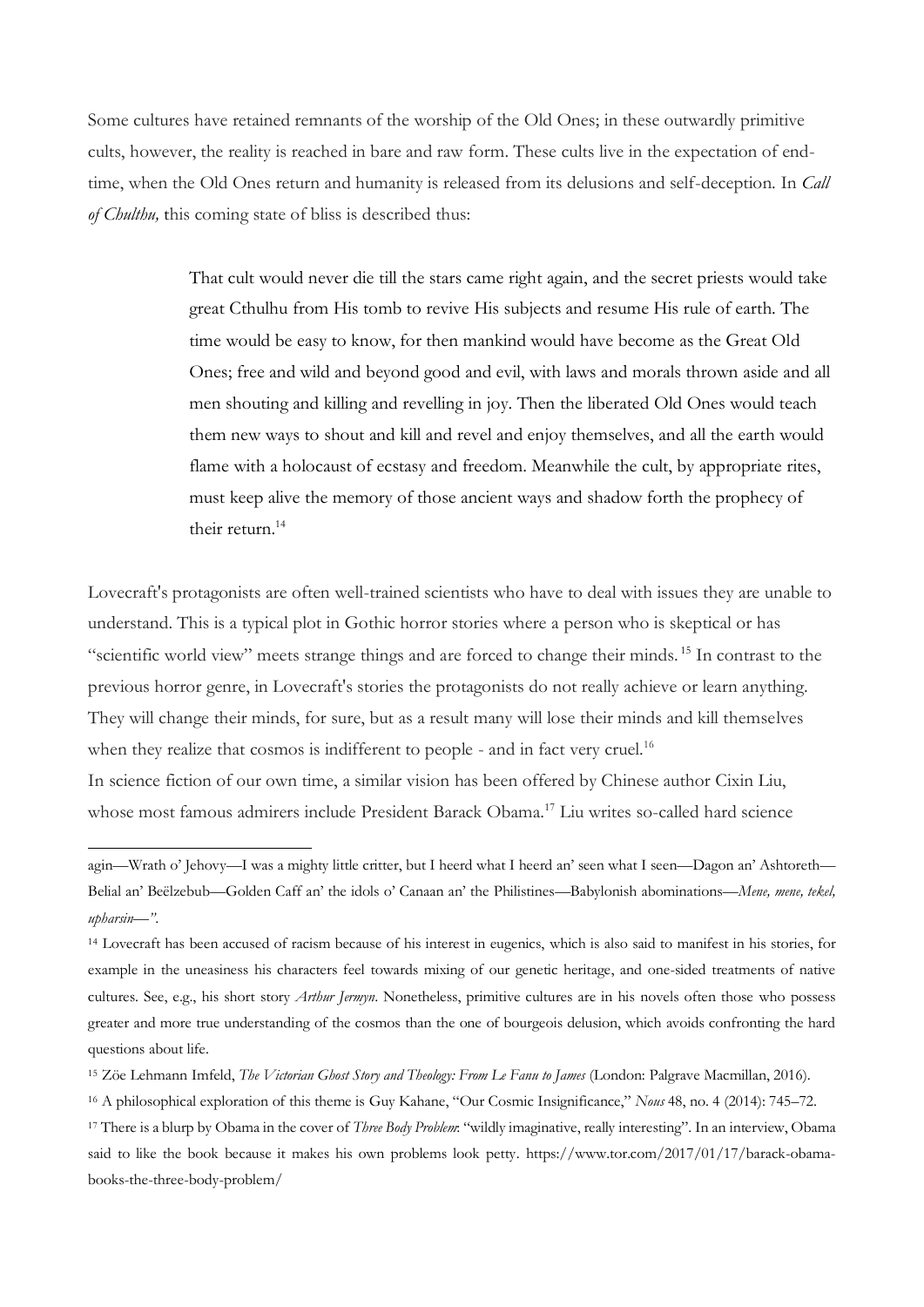Some cultures have retained remnants of the worship of the Old Ones; in these outwardly primitive cults, however, the reality is reached in bare and raw form. These cults live in the expectation of endtime, when the Old Ones return and humanity is released from its delusions and self-deception. In *Call of Chulthu,* this coming state of bliss is described thus:

> That cult would never die till the stars came right again, and the secret priests would take great Cthulhu from His tomb to revive His subjects and resume His rule of earth. The time would be easy to know, for then mankind would have become as the Great Old Ones; free and wild and beyond good and evil, with laws and morals thrown aside and all men shouting and killing and revelling in joy. Then the liberated Old Ones would teach them new ways to shout and kill and revel and enjoy themselves, and all the earth would flame with a holocaust of ecstasy and freedom. Meanwhile the cult, by appropriate rites, must keep alive the memory of those ancient ways and shadow forth the prophecy of their return.<sup>14</sup>

Lovecraft's protagonists are often well-trained scientists who have to deal with issues they are unable to understand. This is a typical plot in Gothic horror stories where a person who is skeptical or has "scientific world view" meets strange things and are forced to change their minds. <sup>15</sup> In contrast to the previous horror genre, in Lovecraft's stories the protagonists do not really achieve or learn anything. They will change their minds, for sure, but as a result many will lose their minds and kill themselves when they realize that cosmos is indifferent to people - and in fact very cruel.<sup>16</sup> In science fiction of our own time, a similar vision has been offered by Chinese author Cixin Liu, whose most famous admirers include President Barack Obama.<sup>17</sup> Liu writes so-called hard science

agin—Wrath o' Jehovy—I was a mighty little critter, but I heerd what I heerd an' seen what I seen—Dagon an' Ashtoreth— Belial an' Beëlzebub—Golden Caff an' the idols o' Canaan an' the Philistines—Babylonish abominations—*Mene, mene, tekel, upharsin—"*.

<sup>14</sup> Lovecraft has been accused of racism because of his interest in eugenics, which is also said to manifest in his stories, for example in the uneasiness his characters feel towards mixing of our genetic heritage, and one-sided treatments of native cultures. See, e.g., his short story *Arthur Jermyn*. Nonetheless, primitive cultures are in his novels often those who possess greater and more true understanding of the cosmos than the one of bourgeois delusion, which avoids confronting the hard questions about life.

<sup>15</sup> Zöe Lehmann Imfeld, *The Victorian Ghost Story and Theology: From Le Fanu to James* (London: Palgrave Macmillan, 2016).

<sup>16</sup> A philosophical exploration of this theme is Guy Kahane, "Our Cosmic Insignificance," *Nous* 48, no. 4 (2014): 745–72.

<sup>17</sup> There is a blurp by Obama in the cover of *Three Body Problem*: "wildly imaginative, really interesting". In an interview, Obama said to like the book because it makes his own problems look petty. https://www.tor.com/2017/01/17/barack-obamabooks-the-three-body-problem/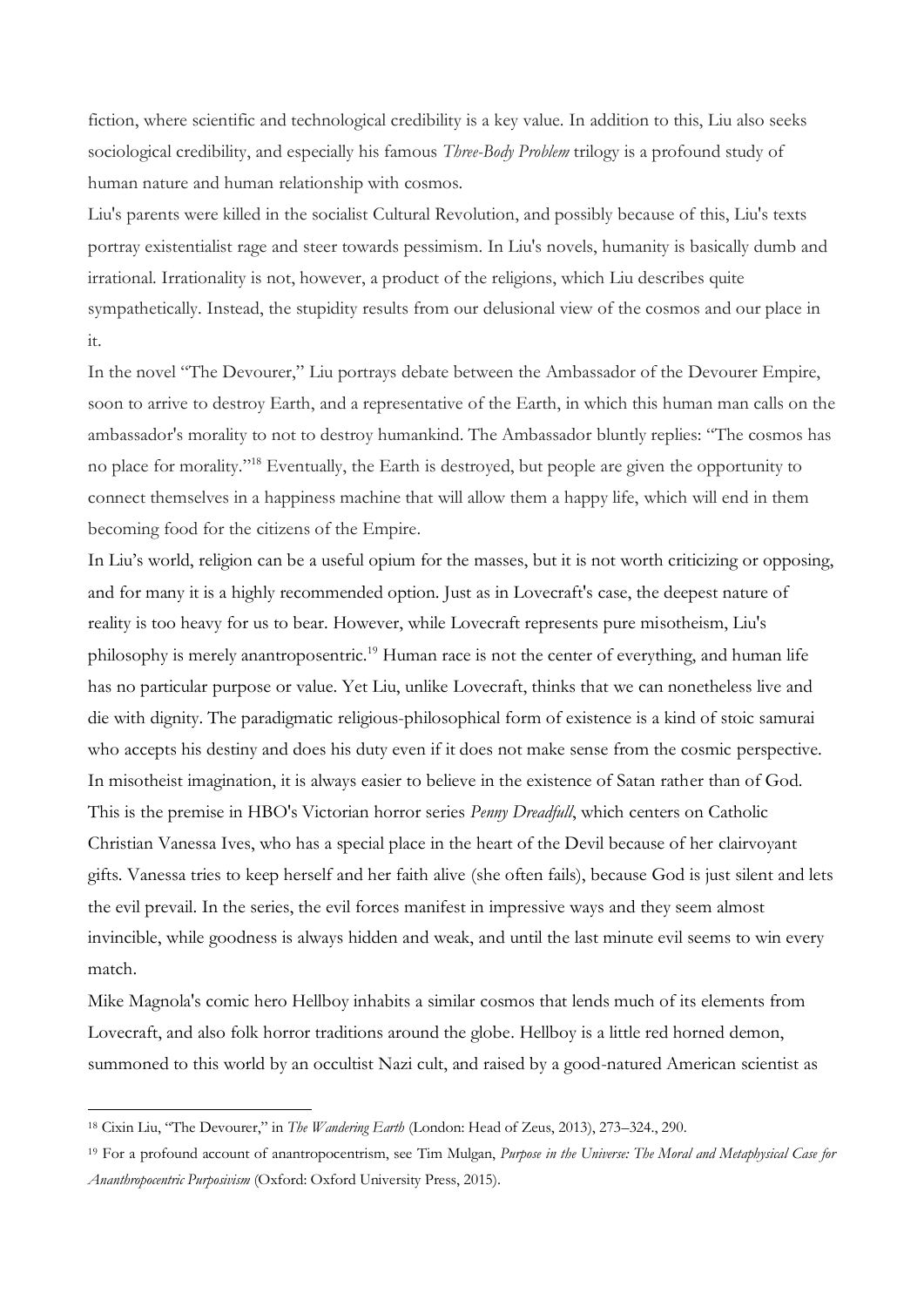fiction, where scientific and technological credibility is a key value. In addition to this, Liu also seeks sociological credibility, and especially his famous *Three-Body Problem* trilogy is a profound study of human nature and human relationship with cosmos.

Liu's parents were killed in the socialist Cultural Revolution, and possibly because of this, Liu's texts portray existentialist rage and steer towards pessimism. In Liu's novels, humanity is basically dumb and irrational. Irrationality is not, however, a product of the religions, which Liu describes quite sympathetically. Instead, the stupidity results from our delusional view of the cosmos and our place in it.

In the novel "The Devourer," Liu portrays debate between the Ambassador of the Devourer Empire, soon to arrive to destroy Earth, and a representative of the Earth, in which this human man calls on the ambassador's morality to not to destroy humankind. The Ambassador bluntly replies: "The cosmos has no place for morality." <sup>18</sup> Eventually, the Earth is destroyed, but people are given the opportunity to connect themselves in a happiness machine that will allow them a happy life, which will end in them becoming food for the citizens of the Empire.

In Liu's world, religion can be a useful opium for the masses, but it is not worth criticizing or opposing, and for many it is a highly recommended option. Just as in Lovecraft's case, the deepest nature of reality is too heavy for us to bear. However, while Lovecraft represents pure misotheism, Liu's philosophy is merely anantroposentric.<sup>19</sup> Human race is not the center of everything, and human life has no particular purpose or value. Yet Liu, unlike Lovecraft, thinks that we can nonetheless live and die with dignity. The paradigmatic religious-philosophical form of existence is a kind of stoic samurai who accepts his destiny and does his duty even if it does not make sense from the cosmic perspective. In misotheist imagination, it is always easier to believe in the existence of Satan rather than of God. This is the premise in HBO's Victorian horror series *Penny Dreadfull*, which centers on Catholic Christian Vanessa Ives, who has a special place in the heart of the Devil because of her clairvoyant gifts. Vanessa tries to keep herself and her faith alive (she often fails), because God is just silent and lets the evil prevail. In the series, the evil forces manifest in impressive ways and they seem almost invincible, while goodness is always hidden and weak, and until the last minute evil seems to win every match.

Mike Magnola's comic hero Hellboy inhabits a similar cosmos that lends much of its elements from Lovecraft, and also folk horror traditions around the globe. Hellboy is a little red horned demon, summoned to this world by an occultist Nazi cult, and raised by a good-natured American scientist as

<sup>18</sup> Cixin Liu, "The Devourer," in *The Wandering Earth* (London: Head of Zeus, 2013), 273–324., 290.

<sup>19</sup> For a profound account of anantropocentrism, see Tim Mulgan, *Purpose in the Universe: The Moral and Metaphysical Case for Ananthropocentric Purposivism* (Oxford: Oxford University Press, 2015).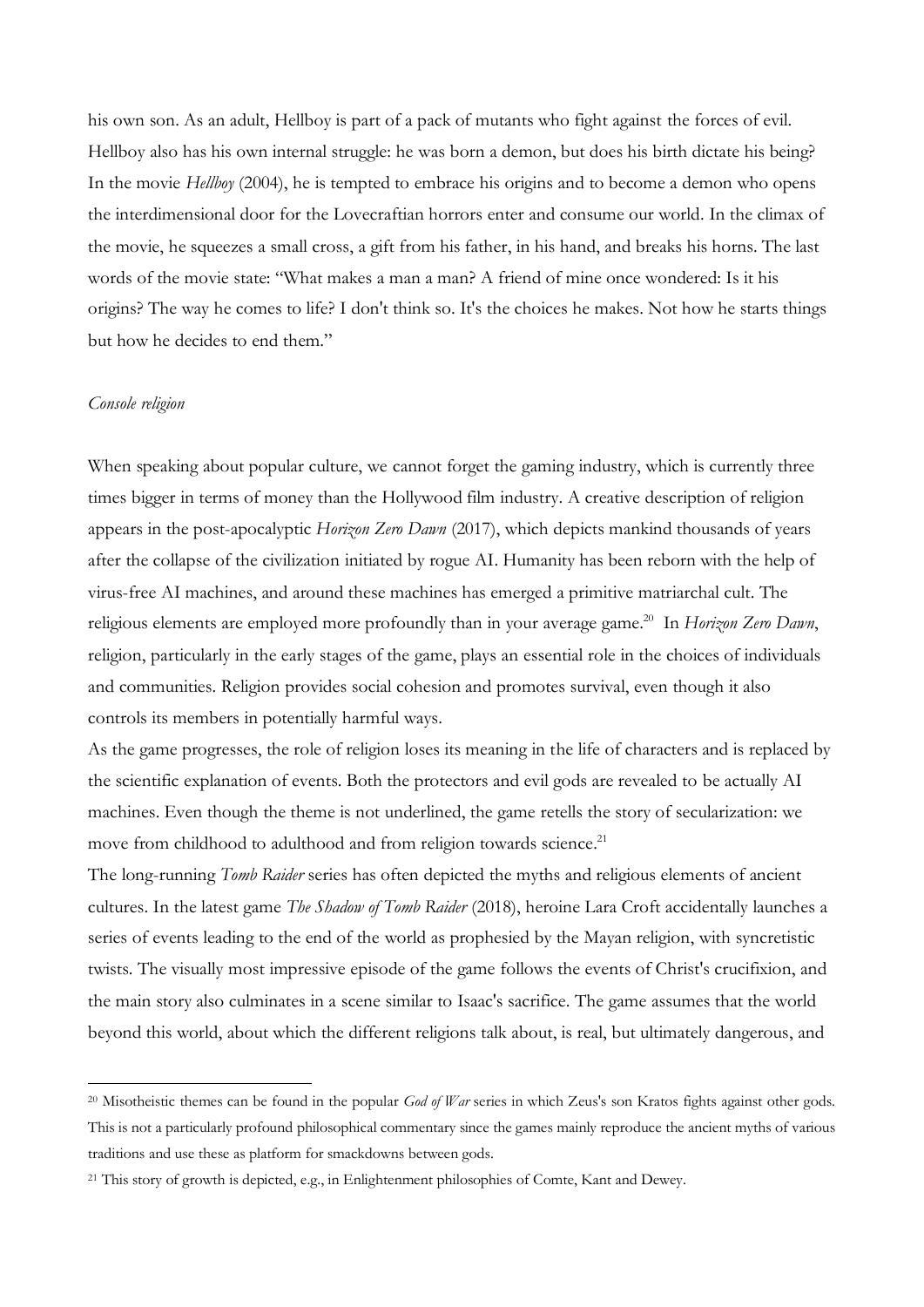his own son. As an adult, Hellboy is part of a pack of mutants who fight against the forces of evil. Hellboy also has his own internal struggle: he was born a demon, but does his birth dictate his being? In the movie *Hellboy* (2004), he is tempted to embrace his origins and to become a demon who opens the interdimensional door for the Lovecraftian horrors enter and consume our world. In the climax of the movie, he squeezes a small cross, a gift from his father, in his hand, and breaks his horns. The last words of the movie state: "What makes a man a man? A friend of mine once wondered: Is it his origins? The way he comes to life? I don't think so. It's the choices he makes. Not how he starts things but how he decides to end them."

## *Console religion*

 $\overline{a}$ 

When speaking about popular culture, we cannot forget the gaming industry, which is currently three times bigger in terms of money than the Hollywood film industry. A creative description of religion appears in the post-apocalyptic *Horizon Zero Dawn* (2017), which depicts mankind thousands of years after the collapse of the civilization initiated by rogue AI. Humanity has been reborn with the help of virus-free AI machines, and around these machines has emerged a primitive matriarchal cult. The religious elements are employed more profoundly than in your average game. <sup>20</sup> In *Horizon Zero Dawn*, religion, particularly in the early stages of the game, plays an essential role in the choices of individuals and communities. Religion provides social cohesion and promotes survival, even though it also controls its members in potentially harmful ways.

As the game progresses, the role of religion loses its meaning in the life of characters and is replaced by the scientific explanation of events. Both the protectors and evil gods are revealed to be actually AI machines. Even though the theme is not underlined, the game retells the story of secularization: we move from childhood to adulthood and from religion towards science.<sup>21</sup>

The long-running *Tomb Raider* series has often depicted the myths and religious elements of ancient cultures. In the latest game *The Shadow of Tomb Raider* (2018), heroine Lara Croft accidentally launches a series of events leading to the end of the world as prophesied by the Mayan religion, with syncretistic twists. The visually most impressive episode of the game follows the events of Christ's crucifixion, and the main story also culminates in a scene similar to Isaac's sacrifice. The game assumes that the world beyond this world, about which the different religions talk about, is real, but ultimately dangerous, and

<sup>&</sup>lt;sup>20</sup> Misotheistic themes can be found in the popular *God of War* series in which Zeus's son Kratos fights against other gods. This is not a particularly profound philosophical commentary since the games mainly reproduce the ancient myths of various traditions and use these as platform for smackdowns between gods.

<sup>&</sup>lt;sup>21</sup> This story of growth is depicted, e.g., in Enlightenment philosophies of Comte, Kant and Dewey.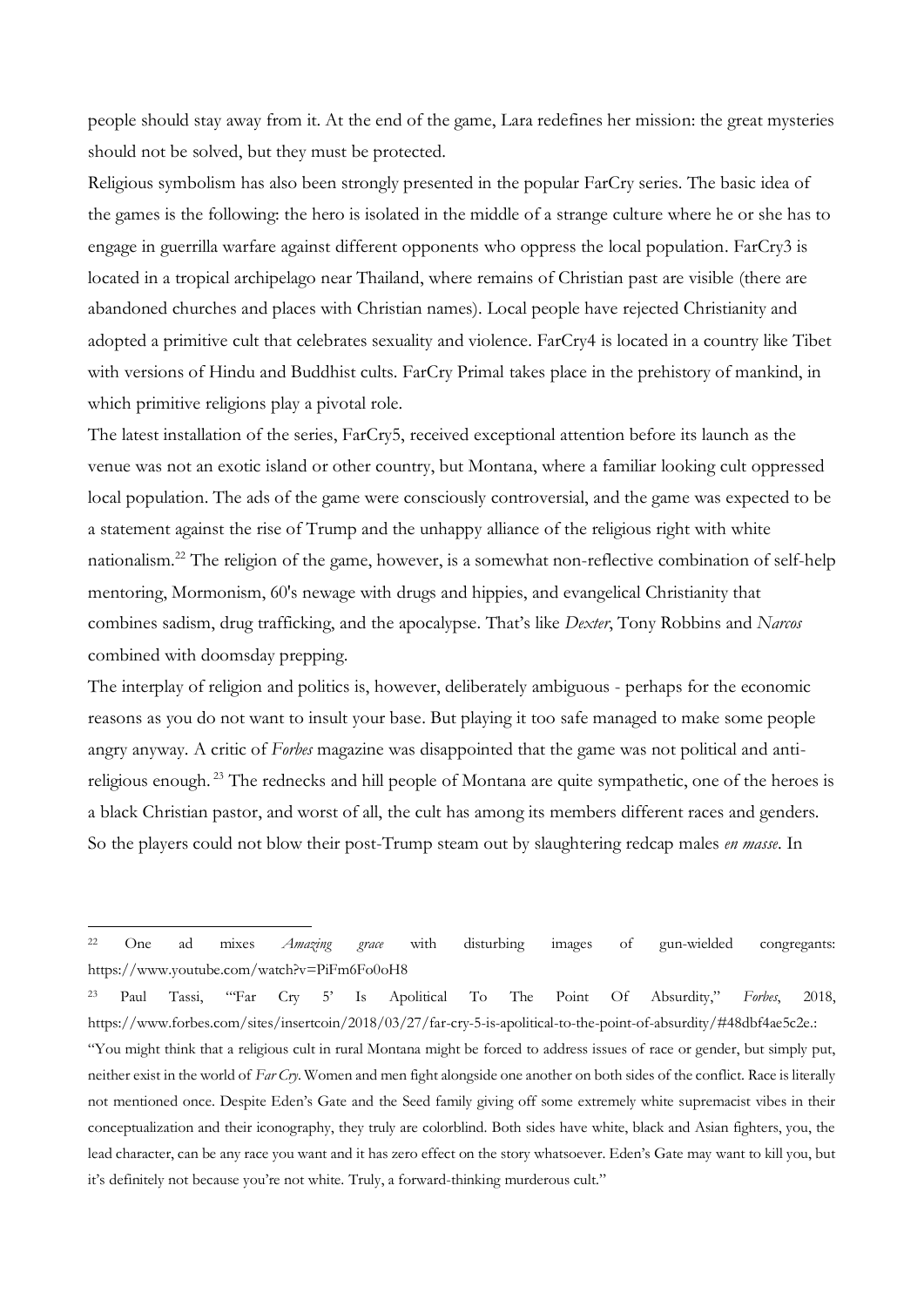people should stay away from it. At the end of the game, Lara redefines her mission: the great mysteries should not be solved, but they must be protected.

Religious symbolism has also been strongly presented in the popular FarCry series. The basic idea of the games is the following: the hero is isolated in the middle of a strange culture where he or she has to engage in guerrilla warfare against different opponents who oppress the local population. FarCry3 is located in a tropical archipelago near Thailand, where remains of Christian past are visible (there are abandoned churches and places with Christian names). Local people have rejected Christianity and adopted a primitive cult that celebrates sexuality and violence. FarCry4 is located in a country like Tibet with versions of Hindu and Buddhist cults. FarCry Primal takes place in the prehistory of mankind, in which primitive religions play a pivotal role.

The latest installation of the series, FarCry5, received exceptional attention before its launch as the venue was not an exotic island or other country, but Montana, where a familiar looking cult oppressed local population. The ads of the game were consciously controversial, and the game was expected to be a statement against the rise of Trump and the unhappy alliance of the religious right with white nationalism.<sup>22</sup> The religion of the game, however, is a somewhat non-reflective combination of self-help mentoring, Mormonism, 60's newage with drugs and hippies, and evangelical Christianity that combines sadism, drug trafficking, and the apocalypse. That's like *Dexter*, Tony Robbins and *Narcos* combined with doomsday prepping.

The interplay of religion and politics is, however, deliberately ambiguous - perhaps for the economic reasons as you do not want to insult your base. But playing it too safe managed to make some people angry anyway. A critic of *Forbes* magazine was disappointed that the game was not political and antireligious enough. <sup>23</sup> The rednecks and hill people of Montana are quite sympathetic, one of the heroes is a black Christian pastor, and worst of all, the cult has among its members different races and genders. So the players could not blow their post-Trump steam out by slaughtering redcap males *en masse*. In

lead character, can be any race you want and it has zero effect on the story whatsoever. Eden's Gate may want to kill you, but

<sup>22</sup> One ad mixes *Amazing grace* with disturbing images of gun-wielded congregants: https://www.youtube.com/watch?v=PiFm6Fo0oH8

<sup>23</sup> Paul Tassi, "'Far Cry 5' Is Apolitical To The Point Of Absurdity," *Forbes*, 2018, https://www.forbes.com/sites/insertcoin/2018/03/27/far-cry-5-is-apolitical-to-the-point-of-absurdity/#48dbf4ae5c2e.: "You might think that a religious cult in rural Montana might be forced to address issues of race or gender, but simply put, neither exist in the world of *Far Cry*. Women and men fight alongside one another on both sides of the conflict. Race is literally not mentioned once. Despite Eden's Gate and the Seed family giving off some extremely white supremacist vibes in their conceptualization and their iconography, they truly are colorblind. Both sides have white, black and Asian fighters, you, the

it's definitely not because you're not white. Truly, a forward-thinking murderous cult."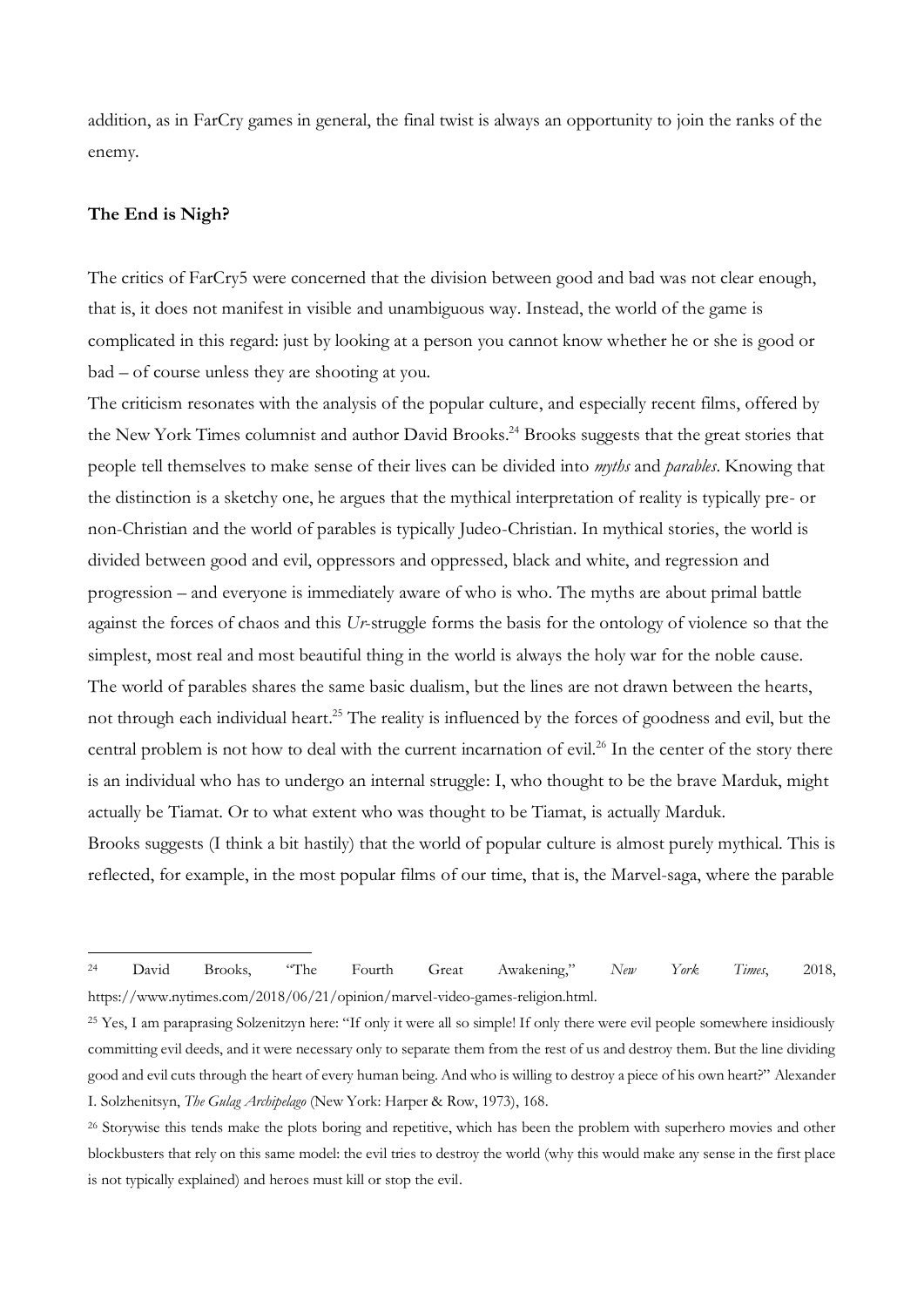addition, as in FarCry games in general, the final twist is always an opportunity to join the ranks of the enemy.

#### **The End is Nigh?**

 $\overline{a}$ 

The critics of FarCry5 were concerned that the division between good and bad was not clear enough, that is, it does not manifest in visible and unambiguous way. Instead, the world of the game is complicated in this regard: just by looking at a person you cannot know whether he or she is good or bad – of course unless they are shooting at you.

The criticism resonates with the analysis of the popular culture, and especially recent films, offered by the New York Times columnist and author David Brooks. <sup>24</sup> Brooks suggests that the great stories that people tell themselves to make sense of their lives can be divided into *myths* and *parables*. Knowing that the distinction is a sketchy one, he argues that the mythical interpretation of reality is typically pre- or non-Christian and the world of parables is typically Judeo-Christian. In mythical stories, the world is divided between good and evil, oppressors and oppressed, black and white, and regression and progression – and everyone is immediately aware of who is who. The myths are about primal battle against the forces of chaos and this *Ur*-struggle forms the basis for the ontology of violence so that the simplest, most real and most beautiful thing in the world is always the holy war for the noble cause. The world of parables shares the same basic dualism, but the lines are not drawn between the hearts, not through each individual heart.<sup>25</sup> The reality is influenced by the forces of goodness and evil, but the central problem is not how to deal with the current incarnation of evil. <sup>26</sup> In the center of the story there is an individual who has to undergo an internal struggle: I, who thought to be the brave Marduk, might actually be Tiamat. Or to what extent who was thought to be Tiamat, is actually Marduk. Brooks suggests (I think a bit hastily) that the world of popular culture is almost purely mythical. This is

reflected, for example, in the most popular films of our time, that is, the Marvel-saga, where the parable

<sup>24</sup> David Brooks, "The Fourth Great Awakening," *New York Times*, 2018, https://www.nytimes.com/2018/06/21/opinion/marvel-video-games-religion.html.

<sup>&</sup>lt;sup>25</sup> Yes, I am paraprasing Solzenitzyn here: "If only it were all so simple! If only there were evil people somewhere insidiously committing evil deeds, and it were necessary only to separate them from the rest of us and destroy them. But the line dividing good and evil cuts through the heart of every human being. And who is willing to destroy a piece of his own heart?" Alexander I. Solzhenitsyn, *The Gulag Archipelago* (New York: Harper & Row, 1973), 168.

<sup>&</sup>lt;sup>26</sup> Storywise this tends make the plots boring and repetitive, which has been the problem with superhero movies and other blockbusters that rely on this same model: the evil tries to destroy the world (why this would make any sense in the first place is not typically explained) and heroes must kill or stop the evil.